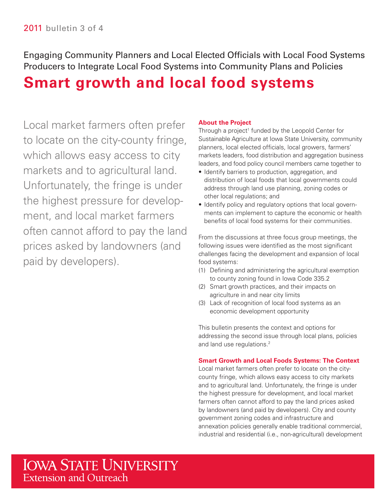Engaging Community Planners and Local Elected Officials with Local Food Systems Producers to Integrate Local Food Systems into Community Plans and Policies

# **Smart growth and local food systems**

 Local market farmers often prefer to locate on the city-county fringe, which allows easy access to city markets and to agricultural land. Unfortunately, the fringe is under the highest pressure for develop- ment, and local market farmers often cannot afford to pay the land prices asked by landowners (and paid by developers).

# **About the Project**

 Sustainable Agriculture at Iowa State University, community markets leaders, food distribution and aggregation business leaders, and food policy council members came together to Through a project<sup>1</sup> funded by the Leopold Center for planners, local elected officials, local growers, farmers'

- Identify barriers to production, aggregation, and distribution of local foods that local governments could address through land use planning, zoning codes or other local regulations; and
- • Identify policy and regulatory options that local governments can implement to capture the economic or health benefits of local food systems for their communities.

From the discussions at three focus group meetings, the following issues were identified as the most significant challenges facing the development and expansion of local food systems:

- (1) Defining and administering the agricultural exemption to county zoning found in Iowa Code 335.2
- (2) Smart growth practices, and their impacts on agriculture in and near city limits
- (3) Lack of recognition of local food systems as an economic development opportunity

This bulletin presents the context and options for addressing the second issue through local plans, policies and land use regulations.<sup>2</sup>

### **Smart Growth and Local Foods Systems: The Context**

 annexation policies generally enable traditional commercial, industrial and residential (i.e., non-agricultural) development Local market farmers often prefer to locate on the citycounty fringe, which allows easy access to city markets and to agricultural land. Unfortunately, the fringe is under the highest pressure for development, and local market farmers often cannot afford to pay the land prices asked by landowners (and paid by developers). City and county government zoning codes and infrastructure and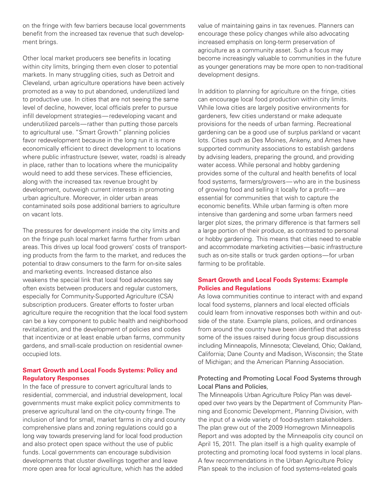on the fringe with few barriers because local governments benefit from the increased tax revenue that such development brings.

Other local market producers see benefits in locating within city limits, bringing them even closer to potential markets. In many struggling cities, such as Detroit and Cleveland, urban agriculture operations have been actively promoted as a way to put abandoned, underutilized land to productive use. In cities that are not seeing the same level of decline, however, local officials prefer to pursue infill development strategies— redeveloping vacant and underutilized parcels—rather than putting those parcels to agricultural use. "Smart Growth" planning policies favor redevelopment because in the long run it is more economically efficient to direct development to locations where public infrastructure (sewer, water, roads) is already in place, rather than to locations where the municipality would need to add these services. These efficiencies, along with the increased tax revenue brought by development, outweigh current interests in promoting urban agriculture. Moreover, in older urban areas contaminated soils pose additional barriers to agriculture on vacant lots.

 agriculture require the recognition that the local food system The pressures for development inside the city limits and on the fringe push local market farms further from urban areas. This drives up local food growers' costs of transporting products from the farm to the market, and reduces the potential to draw consumers to the farm for on-site sales and marketing events. Increased distance also weakens the special link that local food advocates say often exists between producers and regular customers, especially for Community-Supported Agriculture (CSA) subscription producers. Greater efforts to foster urban can be a key component to public health and neighborhood revitalization, and the development of policies and codes that incentivize or at least enable urban farms, community gardens, and small-scale production on residential owneroccupied lots.

# **Smart Growth and Local Foods Systems: Policy and Regulatory Responses**

 long way towards preserving land for local food production In the face of pressure to convert agricultural lands to residential, commercial, and industrial development, local governments must make explicit policy commitments to preserve agricultural land on the city-county fringe. The inclusion of land for small, market farms in city and county comprehensive plans and zoning regulations could go a and also protect open space without the use of public funds. Local governments can encourage subdivision developments that cluster dwellings together and leave more open area for local agriculture, which has the added

 as younger generations may be more open to non-traditional value of maintaining gains in tax revenues. Planners can encourage these policy changes while also advocating increased emphasis on long-term preservation of agriculture as a community asset. Such a focus may become increasingly valuable to communities in the future development designs.

 and accommodate marketing activities—basic infrastructure In addition to planning for agriculture on the fringe, cities can encourage local food production within city limits. While Iowa cities are largely positive environments for gardeners, few cities understand or make adequate provisions for the needs of urban farming. Recreational gardening can be a good use of surplus parkland or vacant lots. Cities such as Des Moines, Ankeny, and Ames have supported community associations to establish gardens by advising leaders, preparing the ground, and providing water access. While personal and hobby gardening provides some of the cultural and health benefits of local food systems, farmers/growers— who are in the business of growing food and selling it locally for a profit-are essential for communities that wish to capture the economic benefits. While urban farming is often more intensive than gardening and some urban farmers need larger plot sizes, the primary difference is that farmers sell a large portion of their produce, as contrasted to personal or hobby gardening. This means that cities need to enable such as on-site stalls or truck garden options—for urban farming to be profitable.

### **Smart Growth and Local Foods Systems: Example Policies and Regulations**

 including Minneapolis, Minnesota; Cleveland, Ohio; Oakland, As Iowa communities continue to interact with and expand local food systems, planners and local elected officials could learn from innovative responses both within and outside of the state. Example plans, polices, and ordinances from around the country have been identifed that address some of the issues raised during focus group discussions California; Dane County and Madison, Wisconsin; the State of Michigan; and the American Planning Association.

# Local Plans and Policies, Protecting and Promoting Local Food Systems through

 The Minneapolis Urban Agriculture Policy Plan was devel- oped over two years by the Department of Community Planning and Economic Development, Planning Division, with the input of a wide variety of food-system stakeholders. The plan grew out of the 2009 Homegrown Minneapolis Report and was adopted by the Minneapolis city council on April 15, 2011. The plan itself is a high quality example of protecting and promoting local food systems in local plans. A few recommendations in the Urban Agriculture Policy Plan speak to the inclusion of food systems-related goals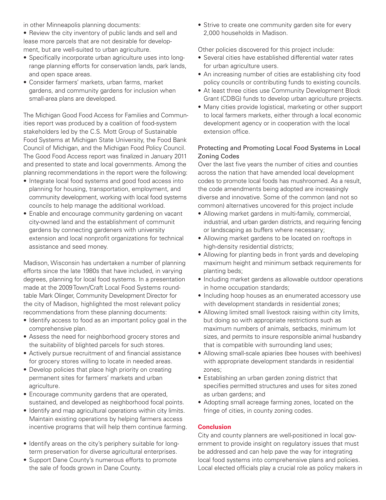in other Minneapolis planning documents:

 lease more parcels that are not desirable for develop-• Review the city inventory of public lands and sell and ment, but are well-suited to urban agriculture.

- Specifically incorporate urban agriculture uses into longrange planning efforts for conservation lands, park lands, and open space areas.
- Consider farmers' markets, urban farms, market gardens, and community gardens for inclusion when small-area plans are developed.

 The Michigan Good Food Access for Families and Commun- Council of Michigan, and the Michigan Food Policy Council. The Good Food Access report was fnalized in January 2011 planning recommendations in the report were the following: ities report was produced by a coalition of food-system stakeholders led by the C.S. Mott Group of Sustainable Food Systems at Michigan State University, the Food Bank and presented to state and local governments. Among the

- community development, working with local food systems • Integrate local food systems and good food access into planning for housing, transportation, employment, and councils to help manage the additional workload.
- Enable and encourage community gardening on vacant city-owned land and the establishment of communit gardens by connecting gardeners with university extension and local nonprofit organizations for technical assistance and seed money.

 degrees, planning for local food systems. In a presentation table Mark Olinger, Community Development Director for Madison, Wisconsin has undertaken a number of planning efforts since the late 1980s that have included, in varying made at the 2009Town/Craft Local Food Systems roundthe city of Madison, highlighted the most relevant policy recommendations from these planning documents:

- Identify access to food as an important policy goal in the comprehensive plan.
- Assess the need for neighborhood grocery stores and the suitability of blighted parcels for such stores.
- Actively pursue recruitment of and financial assistance for grocery stores willing to locate in needed areas.
- Develop policies that place high priority on creating permanent sites for farmers' markets and urban agriculture.
- Encourage community gardens that are operated, sustained, and developed as neighborhood focal points.
- • Identify and map agricultural operations within city limits. Maintain existing operations by helping farmers access incentive programs that will help them continue farming.
- • Identify areas on the city's periphery suitable for longterm preservation for diverse agricultural enterprises.
- Support Dane County's numerous efforts to promote the sale of foods grown in Dane County.

• Strive to create one community garden site for every 2,000 households in Madison.

Other policies discovered for this project include:

- Several cities have established differential water rates for urban agriculture users.
- An increasing number of cities are establishing city food policy councils or contributing funds to existing councils.
- At least three cities use Community Development Block Grant (CDBG) funds to develop urban agriculture projects.
- Many cities provide logistical, marketing or other support to local farmers markets, either through a local economic development agency or in cooperation with the local extension office.

# Protecting and Promoting Local Food Systems in Local Zoning Codes

 codes to promote local foods has mushroomed. As a result, Over the last five years the number of cities and counties across the nation that have amended local development the code amendments being adopted are increasingly diverse and innovative. Some of the common (and not so common) alternatives uncovered for this project include

- Allowing market gardens in multi-family, commercial, industrial, and urban garden districts, and requiring fencing or landscaping as buffers where necessary;
- Allowing market gardens to be located on rooftops in high-density residential districts;
- maximum height and minimum setback requirements for • Allowing for planting beds in front yards and developing planting beds;
- • Including market gardens as allowable outdoor operations in home occupation standards;
- Including hoop houses as an enumerated accessory use with development standards in residential zones;
- Allowing limited small livestock raising within city limits, but doing so with appropriate restrictions such as maximum numbers of animals, setbacks, minimum lot sizes, and permits to insure responsible animal husbandry that is compatible with surrounding land uses;
- • Allowing small-scale apiaries (bee houses with beehives) with appropriate development standards in residential zones;
- Establishing an urban garden zoning district that specifies permitted structures and uses for sites zoned as urban gardens; and
- Adopting small acreage farming zones, located on the fringe of cities, in county zoning codes.

# **Conclusion**

City and county planners are well-positioned in local government to provide insight on regulatory issues that must be addressed and can help pave the way for integrating local food systems into comprehensive plans and policies. Local elected officials play a crucial role as policy makers in